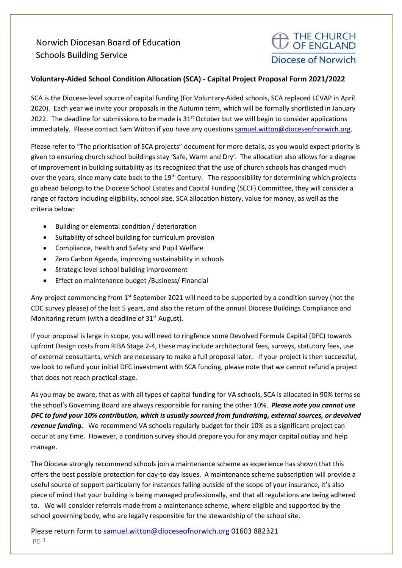## Norwich Diocesan Board of Education Schools Building Service

## $\supset$  THE CHURCH<br>/ OF ENGLAND Diocese of Norwich

## Voluntary-Aided School Condition Allocation (SCA) - Capital Project Proposal Form 2021/2022

SCA is the Diocese-level source of capital funding (For Voluntary-Aided schools, SCA replaced LCVAP in April 2020). Each year we invite your proposals in the Autumn term, which will be formally shortlisted in January 2022. The deadline for submissions to be made is  $31<sup>st</sup>$  October but we will begin to consider applications immediately. Please contact Sam Witton if you have any questions samuel.witton@dioceseofnorwich.org.

Please refer to "The prioritisation of SCA projects" document for more details, as you would expect priority is given to ensuring church school buildings stay 'Safe, Warm and Dry'. The allocation also allows for a degree of improvement in building suitability as its recognized that the use of church schools has changed much over the years, since many date back to the 19<sup>th</sup> Century. The responsibility for determining which projects go ahead belongs to the Diocese School Estates and Capital Funding (SECF) Committee, they will consider a range of factors including eligibility, school size, SCA allocation history, value for money, as well as the criteria below:

- Building or elemental condition / deterioration
- Suitability of school building for curriculum provision
- Compliance, Health and Safety and Pupil Welfare
- Zero Carbon Agenda, improving sustainability in schools
- Strategic level school building improvement
- Effect on maintenance budget /Business/ Financial

Any project commencing from  $1<sup>st</sup>$  September 2021 will need to be supported by a condition survey (not the CDC survey please) of the last 5 years, and also the return of the annual Diocese Buildings Compliance and Monitoring return (with a deadline of  $31<sup>st</sup>$  August).

If your proposal is large in scope, you will need to ringfence some Devolved Formula Capital (DFC) towards upfront Design costs from RIBA Stage 2-4, these may include architectural fees, surveys, statutory fees, use of external consultants, which are necessary to make a full proposal later. If your project is then successful, we look to refund your initial DFC investment with SCA funding, please note that we cannot refund a project that does not reach practical stage.

As you may be aware, that as with all types of capital funding for VA schools, SCA is allocated in 90% terms so the school's Governing Board are always responsible for raising the other 10%. Please note you cannot use DFC to fund your 10% contribution, which is usually sourced from fundraising, external sources, or devolved revenue funding. We recommend VA schools regularly budget for their 10% as a significant project can occur at any time. However, a condition survey should prepare you for any major capital outlay and help manage.

The Diocese strongly recommend schools join a maintenance scheme as experience has shown that this offers the best possible protection for day-to-day issues. A maintenance scheme subscription will provide a useful source of support particularly for instances falling outside of the scope of your insurance, it's also piece of mind that your building is being managed professionally, and that all regulations are being adhered to. We will consider referrals made from a maintenance scheme, where eligible and supported by the school governing body, who are legally responsible for the stewardship of the school site.

Please return form to samuel.witton@dioceseofnorwich.org 01603 882321 pg. 1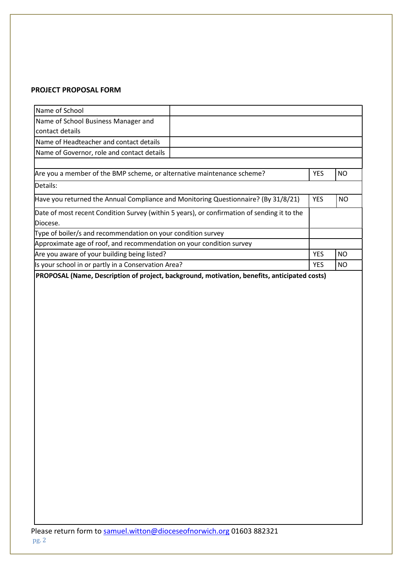## PROJECT PROPOSAL FORM

| Name of School                                                                     |                                                                                             |            |           |
|------------------------------------------------------------------------------------|---------------------------------------------------------------------------------------------|------------|-----------|
| Name of School Business Manager and                                                |                                                                                             |            |           |
| contact details                                                                    |                                                                                             |            |           |
| Name of Headteacher and contact details                                            |                                                                                             |            |           |
| Name of Governor, role and contact details                                         |                                                                                             |            |           |
|                                                                                    |                                                                                             |            |           |
| Are you a member of the BMP scheme, or alternative maintenance scheme?             |                                                                                             | <b>YES</b> | <b>NO</b> |
| Details:                                                                           |                                                                                             |            |           |
| Have you returned the Annual Compliance and Monitoring Questionnaire? (By 31/8/21) |                                                                                             | <b>YES</b> | <b>NO</b> |
|                                                                                    | Date of most recent Condition Survey (within 5 years), or confirmation of sending it to the |            |           |
| Diocese.                                                                           |                                                                                             |            |           |
| Type of boiler/s and recommendation on your condition survey                       |                                                                                             |            |           |
| Approximate age of roof, and recommendation on your condition survey               |                                                                                             |            |           |
| Are you aware of your building being listed?                                       |                                                                                             | <b>YES</b> | <b>NO</b> |
| Is your school in or partly in a Conservation Area?                                |                                                                                             | <b>YES</b> | <b>NO</b> |
|                                                                                    |                                                                                             |            |           |